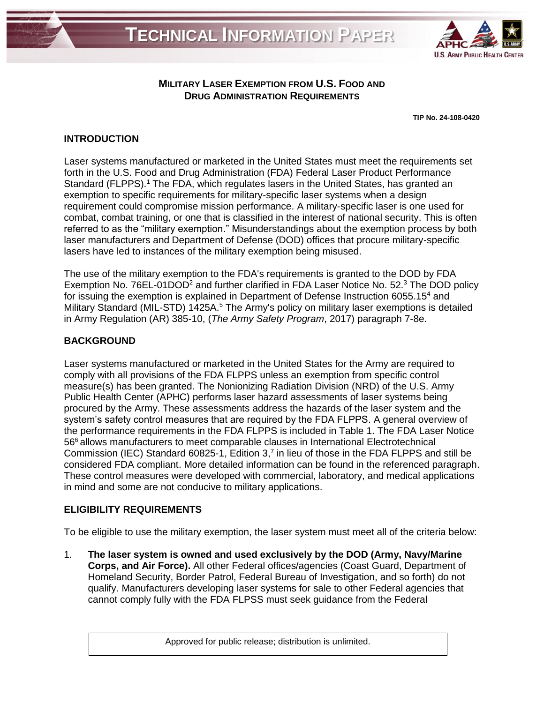

## **MILITARY LASER EXEMPTION FROM U.S. FOOD AND DRUG ADMINISTRATION REQUIREMENTS**

**TIP No. 24-108-0420**

## **INTRODUCTION**

Laser systems manufactured or marketed in the United States must meet the requirements set forth in the U.S. Food and Drug Administration (FDA) Federal Laser Product Performance Standard (FLPPS).<sup>1</sup> The FDA, which regulates lasers in the United States, has granted an exemption to specific requirements for military-specific laser systems when a design requirement could compromise mission performance. A military-specific laser is one used for combat, combat training, or one that is classified in the interest of national security. This is often referred to as the "military exemption." Misunderstandings about the exemption process by both laser manufacturers and Department of Defense (DOD) offices that procure military-specific lasers have led to instances of the military exemption being misused.

The use of the military exemption to the FDA's requirements is granted to the DOD by FDA Exemption No. 76EL-01DOD<sup>2</sup> and further clarified in FDA Laser Notice No. 52.<sup>3</sup> The DOD policy for issuing the exemption is explained in Department of Defense Instruction 6055.15<sup>4</sup> and Military Standard (MIL-STD) 1425A.<sup>5</sup> The Army's policy on military laser exemptions is detailed in Army Regulation (AR) 385-10, (*The Army Safety Program*, 2017) paragraph 7-8e.

## **BACKGROUND**

Laser systems manufactured or marketed in the United States for the Army are required to comply with all provisions of the FDA FLPPS unless an exemption from specific control measure(s) has been granted. The Nonionizing Radiation Division (NRD) of the U.S. Army Public Health Center (APHC) performs laser hazard assessments of laser systems being procured by the Army. These assessments address the hazards of the laser system and the system's safety control measures that are required by the FDA FLPPS. A general overview of the performance requirements in the FDA FLPPS is included in Table 1. The FDA Laser Notice 56<sup>6</sup> allows manufacturers to meet comparable clauses in International Electrotechnical Commission (IEC) Standard 60825-1, Edition 3,<sup>7</sup> in lieu of those in the FDA FLPPS and still be considered FDA compliant. More detailed information can be found in the referenced paragraph. These control measures were developed with commercial, laboratory, and medical applications in mind and some are not conducive to military applications.

## **ELIGIBILITY REQUIREMENTS**

To be eligible to use the military exemption, the laser system must meet all of the criteria below:

1. **The laser system is owned and used exclusively by the DOD (Army, Navy/Marine Corps, and Air Force).** All other Federal offices/agencies (Coast Guard, Department of Homeland Security, Border Patrol, Federal Bureau of Investigation, and so forth) do not qualify. Manufacturers developing laser systems for sale to other Federal agencies that cannot comply fully with the FDA FLPSS must seek guidance from the Federal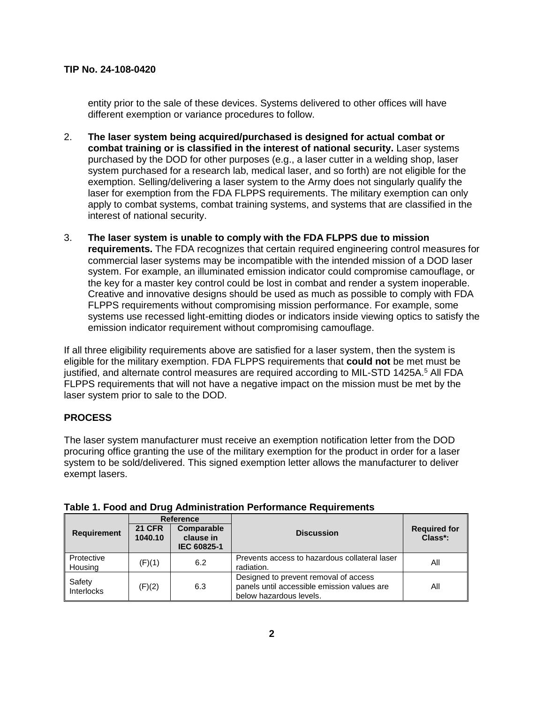entity prior to the sale of these devices. Systems delivered to other offices will have different exemption or variance procedures to follow.

- 2. **The laser system being acquired/purchased is designed for actual combat or combat training or is classified in the interest of national security.** Laser systems purchased by the DOD for other purposes (e.g., a laser cutter in a welding shop, laser system purchased for a research lab, medical laser, and so forth) are not eligible for the exemption. Selling/delivering a laser system to the Army does not singularly qualify the laser for exemption from the FDA FLPPS requirements. The military exemption can only apply to combat systems, combat training systems, and systems that are classified in the interest of national security.
- 3. **The laser system is unable to comply with the FDA FLPPS due to mission requirements.** The FDA recognizes that certain required engineering control measures for commercial laser systems may be incompatible with the intended mission of a DOD laser system. For example, an illuminated emission indicator could compromise camouflage, or the key for a master key control could be lost in combat and render a system inoperable. Creative and innovative designs should be used as much as possible to comply with FDA FLPPS requirements without compromising mission performance. For example, some systems use recessed light-emitting diodes or indicators inside viewing optics to satisfy the emission indicator requirement without compromising camouflage.

If all three eligibility requirements above are satisfied for a laser system, then the system is eligible for the military exemption. FDA FLPPS requirements that **could not** be met must be justified, and alternate control measures are required according to MIL-STD 1425A. <sup>5</sup> All FDA FLPPS requirements that will not have a negative impact on the mission must be met by the laser system prior to sale to the DOD.

### **PROCESS**

The laser system manufacturer must receive an exemption notification letter from the DOD procuring office granting the use of the military exemption for the product in order for a laser system to be sold/delivered. This signed exemption letter allows the manufacturer to deliver exempt lasers.

|                       |                          | <b>Reference</b>                              |                                                                                                                 |                                |
|-----------------------|--------------------------|-----------------------------------------------|-----------------------------------------------------------------------------------------------------------------|--------------------------------|
| <b>Requirement</b>    | <b>21 CFR</b><br>1040.10 | Comparable<br>clause in<br><b>IEC 60825-1</b> | <b>Discussion</b>                                                                                               | <b>Required for</b><br>Class*: |
| Protective<br>Housing | (F)(1)                   | 6.2                                           | Prevents access to hazardous collateral laser<br>radiation.                                                     | All                            |
| Safety<br>Interlocks  | (F)(2)                   | 6.3                                           | Designed to prevent removal of access<br>panels until accessible emission values are<br>below hazardous levels. | Αll                            |

|  |  | Table 1. Food and Drug Administration Performance Requirements |  |
|--|--|----------------------------------------------------------------|--|
|--|--|----------------------------------------------------------------|--|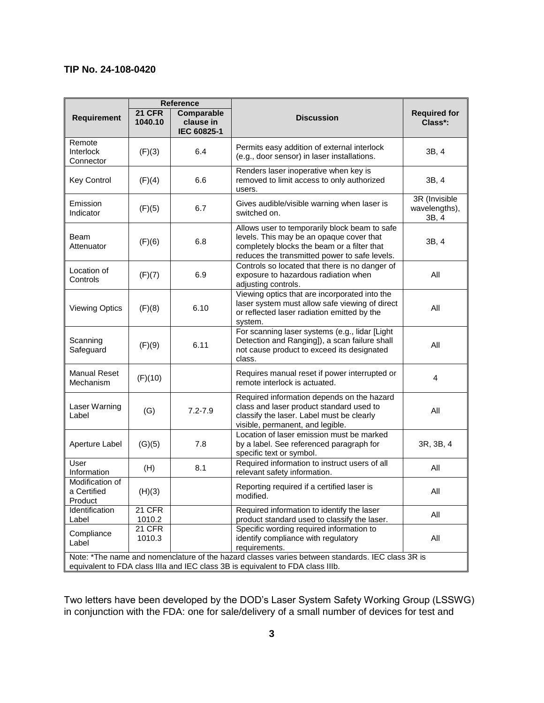|                                           |                          | <b>Reference</b>                       |                                                                                                                                                                                           |                                         |
|-------------------------------------------|--------------------------|----------------------------------------|-------------------------------------------------------------------------------------------------------------------------------------------------------------------------------------------|-----------------------------------------|
| <b>Requirement</b>                        | <b>21 CFR</b><br>1040.10 | Comparable<br>clause in<br>IEC 60825-1 | <b>Discussion</b>                                                                                                                                                                         | <b>Required for</b><br>Class*:          |
| Remote<br>Interlock<br>Connector          | (F)(3)                   | 6.4                                    | Permits easy addition of external interlock<br>(e.g., door sensor) in laser installations.                                                                                                | 3B, 4                                   |
| <b>Key Control</b>                        | (F)(4)                   | 6.6                                    | Renders laser inoperative when key is<br>removed to limit access to only authorized<br>users.                                                                                             | 3B, 4                                   |
| Emission<br>Indicator                     | (F)(5)                   | 6.7                                    | Gives audible/visible warning when laser is<br>switched on.                                                                                                                               | 3R (Invisible<br>wavelengths),<br>3B, 4 |
| Beam<br>Attenuator                        | (F)(6)                   | 6.8                                    | Allows user to temporarily block beam to safe<br>levels. This may be an opaque cover that<br>completely blocks the beam or a filter that<br>reduces the transmitted power to safe levels. | 3B, 4                                   |
| Location of<br>Controls                   | (F)(7)                   | 6.9                                    | Controls so located that there is no danger of<br>exposure to hazardous radiation when<br>adjusting controls.                                                                             | All                                     |
| <b>Viewing Optics</b>                     | (F)(8)                   | 6.10                                   | Viewing optics that are incorporated into the<br>laser system must allow safe viewing of direct<br>or reflected laser radiation emitted by the<br>system.                                 | All                                     |
| Scanning<br>Safeguard                     | (F)(9)                   | 6.11                                   | For scanning laser systems (e.g., lidar [Light<br>Detection and Ranging]), a scan failure shall<br>not cause product to exceed its designated<br>class.                                   | All                                     |
| <b>Manual Reset</b><br>Mechanism          | (F)(10)                  |                                        | Requires manual reset if power interrupted or<br>remote interlock is actuated.                                                                                                            | 4                                       |
| Laser Warning<br>Label                    | (G)                      | $7.2 - 7.9$                            | Required information depends on the hazard<br>class and laser product standard used to<br>classify the laser. Label must be clearly<br>visible, permanent, and legible.                   | All                                     |
| Aperture Label                            | (G)(5)                   | 7.8                                    | Location of laser emission must be marked<br>by a label. See referenced paragraph for<br>specific text or symbol.                                                                         | 3R, 3B, 4                               |
| User<br>Information                       | (H)                      | 8.1                                    | Required information to instruct users of all<br>relevant safety information.                                                                                                             | All                                     |
| Modification of<br>a Certified<br>Product | (H)(3)                   |                                        | Reporting required if a certified laser is<br>modified.                                                                                                                                   | All                                     |
| Identification<br>Label                   | 21 CFR<br>1010.2         |                                        | Required information to identify the laser<br>product standard used to classify the laser.                                                                                                | All                                     |
| Compliance<br>Label                       | 21 CFR<br>1010.3         |                                        | Specific wording required information to<br>identify compliance with regulatory<br>requirements.                                                                                          | All                                     |
|                                           |                          |                                        | Note: *The name and nomenclature of the hazard classes varies between standards. IEC class 3R is<br>equivalent to FDA class IIIa and IEC class 3B is equivalent to FDA class IIIb.        |                                         |

Two letters have been developed by the DOD's Laser System Safety Working Group (LSSWG) in conjunction with the FDA: one for sale/delivery of a small number of devices for test and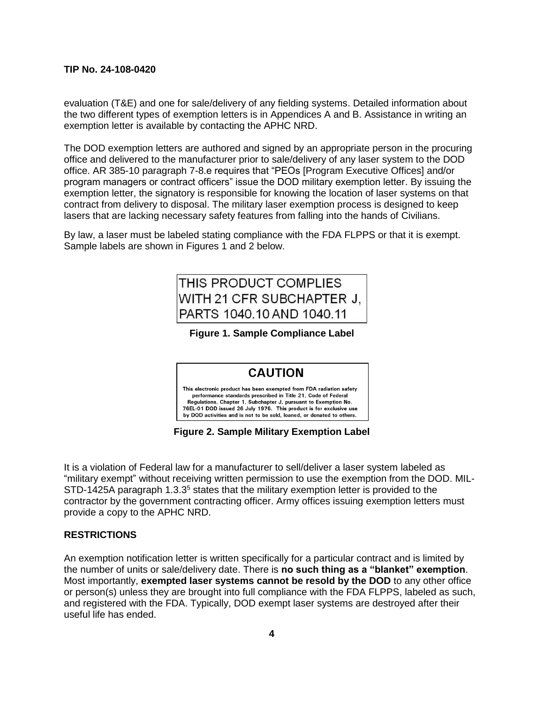evaluation (T&E) and one for sale/delivery of any fielding systems. Detailed information about the two different types of exemption letters is in Appendices A and B. Assistance in writing an exemption letter is available by contacting the APHC NRD.

The DOD exemption letters are authored and signed by an appropriate person in the procuring office and delivered to the manufacturer prior to sale/delivery of any laser system to the DOD office. AR 385-10 paragraph 7-8.e requires that "PEOs [Program Executive Offices] and/or program managers or contract officers" issue the DOD military exemption letter. By issuing the exemption letter, the signatory is responsible for knowing the location of laser systems on that contract from delivery to disposal. The military laser exemption process is designed to keep lasers that are lacking necessary safety features from falling into the hands of Civilians.

By law, a laser must be labeled stating compliance with the FDA FLPPS or that it is exempt. Sample labels are shown in Figures 1 and 2 below.

# THIS PRODUCT COMPLIES WITH 21 CFR SUBCHAPTER J. PARTS 1040.10 AND 1040.11

**Figure 1. Sample Compliance Label**

## **CAUTION**

This electronic product has been exempted from FDA radiation safety performance standards prescribed in Title 21, Code of Federal Regulations, Chapter 1, Subchapter J, pursuant to Exemption No. 76EL-01 DOD issued 26 July 1976. This product is for exclusive use<br>by DOD activities and is not to be sold, loaned, or donated to others.

**Figure 2. Sample Military Exemption Label** 

It is a violation of Federal law for a manufacturer to sell/deliver a laser system labeled as "military exempt" without receiving written permission to use the exemption from the DOD. MIL- $STD-1425A$  paragraph  $1.3.3<sup>5</sup>$  states that the military exemption letter is provided to the contractor by the government contracting officer. Army offices issuing exemption letters must provide a copy to the APHC NRD.

### **RESTRICTIONS**

An exemption notification letter is written specifically for a particular contract and is limited by the number of units or sale/delivery date. There is **no such thing as a "blanket" exemption**. Most importantly, **exempted laser systems cannot be resold by the DOD** to any other office or person(s) unless they are brought into full compliance with the FDA FLPPS, labeled as such, and registered with the FDA. Typically, DOD exempt laser systems are destroyed after their useful life has ended.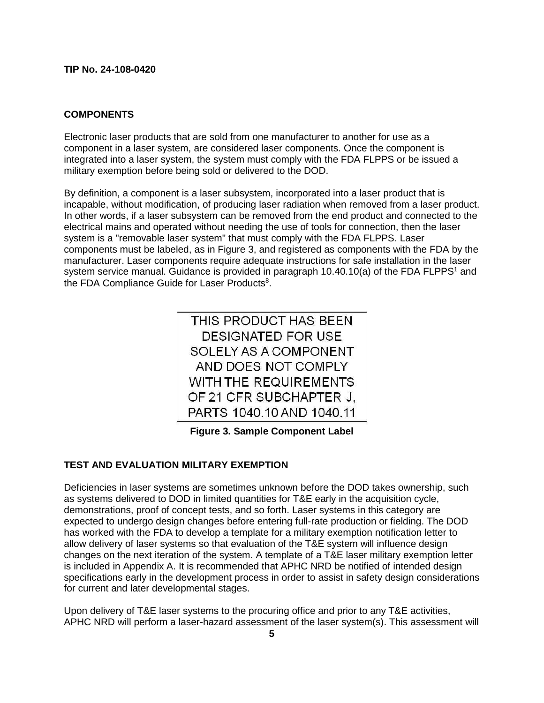### **COMPONENTS**

Electronic laser products that are sold from one manufacturer to another for use as a component in a laser system, are considered laser components. Once the component is integrated into a laser system, the system must comply with the FDA FLPPS or be issued a military exemption before being sold or delivered to the DOD.

By definition, a component is a laser subsystem, incorporated into a laser product that is incapable, without modification, of producing laser radiation when removed from a laser product. In other words, if a laser subsystem can be removed from the end product and connected to the electrical mains and operated without needing the use of tools for connection, then the laser system is a "removable laser system" that must comply with the FDA FLPPS. Laser components must be labeled, as in Figure 3, and registered as components with the FDA by the manufacturer. Laser components require adequate instructions for safe installation in the laser system service manual. Guidance is provided in paragraph  $10.40.10(a)$  of the FDA FLPPS<sup>1</sup> and the FDA Compliance Guide for Laser Products<sup>8</sup>.

**Figure 3. Sample Component Label** 

### **TEST AND EVALUATION MILITARY EXEMPTION**

Deficiencies in laser systems are sometimes unknown before the DOD takes ownership, such as systems delivered to DOD in limited quantities for T&E early in the acquisition cycle, demonstrations, proof of concept tests, and so forth. Laser systems in this category are expected to undergo design changes before entering full-rate production or fielding. The DOD has worked with the FDA to develop a template for a military exemption notification letter to allow delivery of laser systems so that evaluation of the T&E system will influence design changes on the next iteration of the system. A template of a T&E laser military exemption letter is included in Appendix A. It is recommended that APHC NRD be notified of intended design specifications early in the development process in order to assist in safety design considerations for current and later developmental stages.

Upon delivery of T&E laser systems to the procuring office and prior to any T&E activities, APHC NRD will perform a laser-hazard assessment of the laser system(s). This assessment will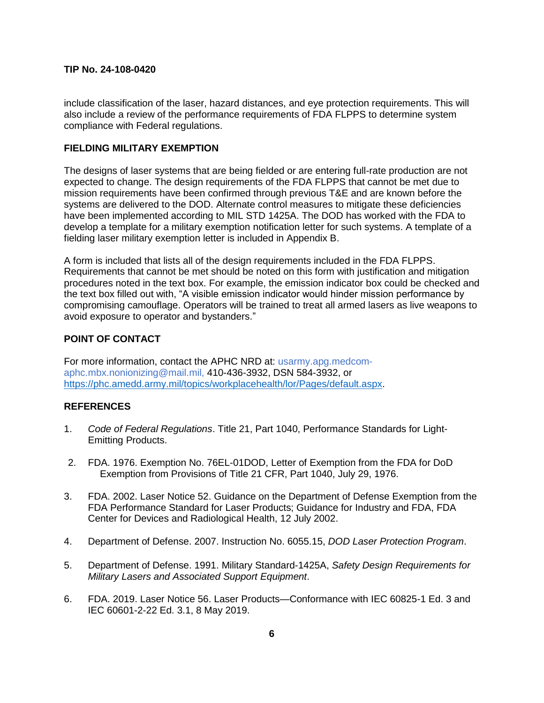include classification of the laser, hazard distances, and eye protection requirements. This will also include a review of the performance requirements of FDA FLPPS to determine system compliance with Federal regulations.

### **FIELDING MILITARY EXEMPTION**

The designs of laser systems that are being fielded or are entering full-rate production are not expected to change. The design requirements of the FDA FLPPS that cannot be met due to mission requirements have been confirmed through previous T&E and are known before the systems are delivered to the DOD. Alternate control measures to mitigate these deficiencies have been implemented according to MIL STD 1425A. The DOD has worked with the FDA to develop a template for a military exemption notification letter for such systems. A template of a fielding laser military exemption letter is included in Appendix B.

A form is included that lists all of the design requirements included in the FDA FLPPS. Requirements that cannot be met should be noted on this form with justification and mitigation procedures noted in the text box. For example, the emission indicator box could be checked and the text box filled out with, "A visible emission indicator would hinder mission performance by compromising camouflage. Operators will be trained to treat all armed lasers as live weapons to avoid exposure to operator and bystanders."

## **POINT OF CONTACT**

For more information, contact the APHC NRD at: [usarmy.apg.medcom](mailto:usarmy.apg.medcom-aphc.mbx.nonionizing@mail.mil,)[aphc.mbx.nonionizing@mail.mil,](mailto:usarmy.apg.medcom-aphc.mbx.nonionizing@mail.mil,) 410-436-3932, DSN 584-3932, or [https://phc.amedd.army.mil/topics/workplacehealth/lor/Pages/default.aspx.](https://phc.amedd.army.mil/topics/workplacehealth/lor/Pages/default.aspx)

### **REFERENCES**

- 1. *Code of Federal Regulations*. Title 21, Part 1040, Performance Standards for Light-Emitting Products.
- 2. FDA. 1976. Exemption No. 76EL-01DOD, Letter of Exemption from the FDA for DoD Exemption from Provisions of Title 21 CFR, Part 1040, July 29, 1976.
- 3. FDA. 2002. Laser Notice 52. Guidance on the Department of Defense Exemption from the FDA Performance Standard for Laser Products; Guidance for Industry and FDA, FDA Center for Devices and Radiological Health, 12 July 2002.
- 4. Department of Defense. 2007. Instruction No. 6055.15, *DOD Laser Protection Program*.
- 5. Department of Defense. 1991. Military Standard-1425A, *Safety Design Requirements for Military Lasers and Associated Support Equipment*.
- 6. FDA. 2019. Laser Notice 56. Laser Products—Conformance with IEC 60825-1 Ed. 3 and IEC 60601-2-22 Ed. 3.1, 8 May 2019.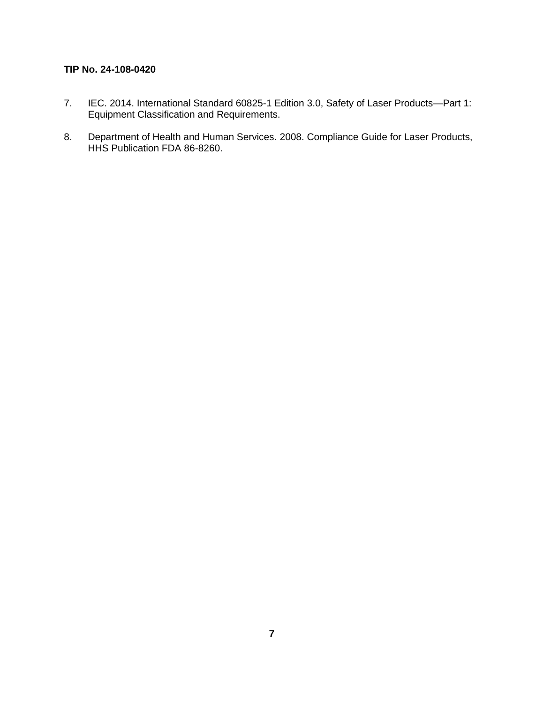- 7. IEC. 2014. International Standard 60825-1 Edition 3.0, Safety of Laser Products—Part 1: Equipment Classification and Requirements.
- 8. Department of Health and Human Services. 2008. Compliance Guide for Laser Products, HHS Publication FDA 86-8260.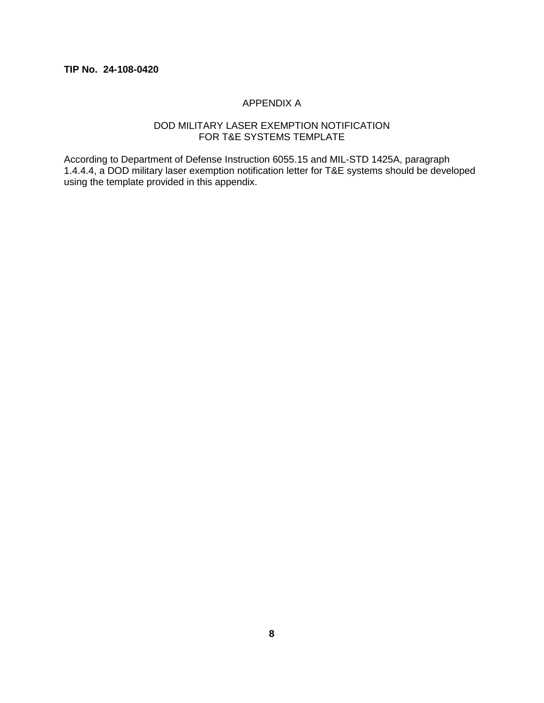## APPENDIX A

## DOD MILITARY LASER EXEMPTION NOTIFICATION FOR T&E SYSTEMS TEMPLATE

According to Department of Defense Instruction 6055.15 and MIL-STD 1425A, paragraph 1.4.4.4, a DOD military laser exemption notification letter for T&E systems should be developed using the template provided in this appendix.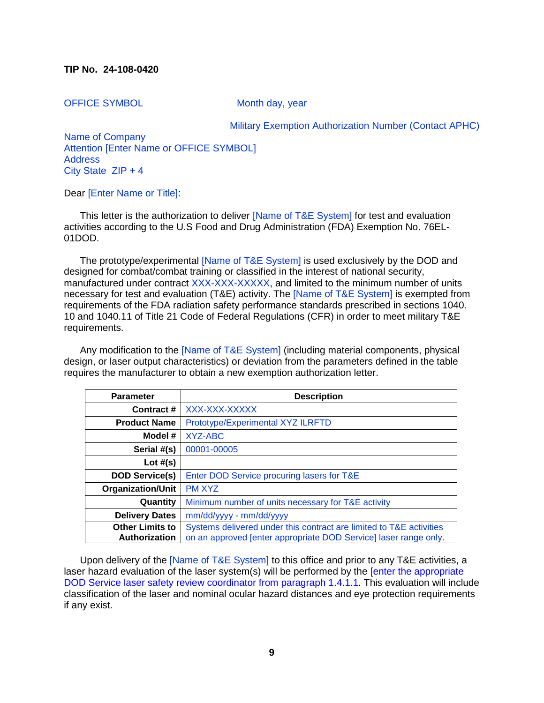OFFICE SYMBOL Month day, year

Military Exemption Authorization Number (Contact APHC)

Name of Company Attention [Enter Name or OFFICE SYMBOL] Address City State ZIP + 4

#### Dear [Enter Name or Title]:

This letter is the authorization to deliver [Name of T&E System] for test and evaluation activities according to the U.S Food and Drug Administration (FDA) Exemption No. 76EL-01DOD.

The prototype/experimental [Name of T&E System] is used exclusively by the DOD and designed for combat/combat training or classified in the interest of national security, manufactured under contract XXX-XXX-XXXXX, and limited to the minimum number of units necessary for test and evaluation (T&E) activity. The [Name of T&E System] is exempted from requirements of the FDA radiation safety performance standards prescribed in sections 1040. 10 and 1040.11 of Title 21 Code of Federal Regulations (CFR) in order to meet military T&E requirements.

Any modification to the [Name of T&E System] (including material components, physical design, or laser output characteristics) or deviation from the parameters defined in the table requires the manufacturer to obtain a new exemption authorization letter.

| <b>Parameter</b>                        | <b>Description</b>                                                                                                                      |  |
|-----------------------------------------|-----------------------------------------------------------------------------------------------------------------------------------------|--|
| Contract #                              | XXX-XXX-XXXXX                                                                                                                           |  |
| <b>Product Name</b>                     | Prototype/Experimental XYZ ILRFTD                                                                                                       |  |
| Model #                                 | XYZ-ABC                                                                                                                                 |  |
| Serial #(s)                             | 00001-00005                                                                                                                             |  |
| Lot $#(s)$                              |                                                                                                                                         |  |
| <b>DOD Service(s)</b>                   | Enter DOD Service procuring lasers for T&E                                                                                              |  |
| <b>Organization/Unit</b>                | <b>PM XYZ</b>                                                                                                                           |  |
| Quantity                                | Minimum number of units necessary for T&E activity                                                                                      |  |
| <b>Delivery Dates</b>                   | mm/dd/yyyy - mm/dd/yyyy                                                                                                                 |  |
| <b>Other Limits to</b><br>Authorization | Systems delivered under this contract are limited to T&E activities<br>on an approved [enter appropriate DOD Service] laser range only. |  |

Upon delivery of the [Name of T&E System] to this office and prior to any T&E activities, a laser hazard evaluation of the laser system(s) will be performed by the [enter the appropriate DOD Service laser safety review coordinator from paragraph 1.4.1.1. This evaluation will include classification of the laser and nominal ocular hazard distances and eye protection requirements if any exist.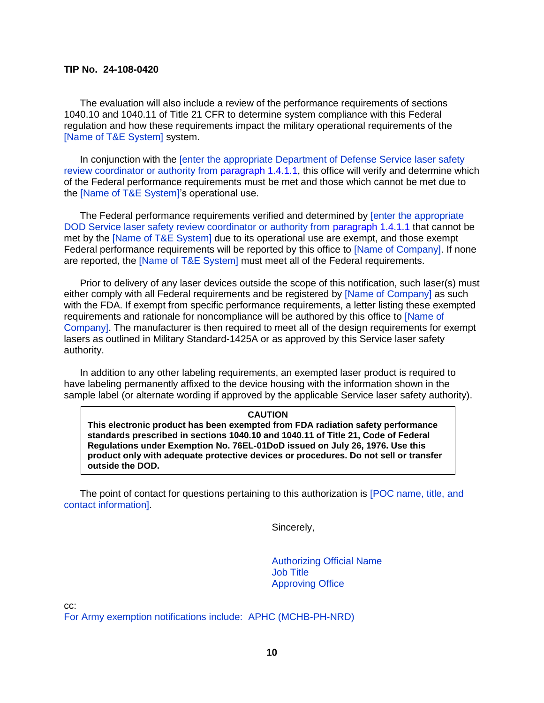The evaluation will also include a review of the performance requirements of sections 1040.10 and 1040.11 of Title 21 CFR to determine system compliance with this Federal regulation and how these requirements impact the military operational requirements of the [Name of T&E System] system.

In conjunction with the [enter the appropriate Department of Defense Service laser safety review coordinator or authority from paragraph 1.4.1.1, this office will verify and determine which of the Federal performance requirements must be met and those which cannot be met due to the [Name of T&E System]'s operational use.

The Federal performance requirements verified and determined by [enter the appropriate DOD Service laser safety review coordinator or authority from paragraph 1.4.1.1 that cannot be met by the [Name of T&E System] due to its operational use are exempt, and those exempt Federal performance requirements will be reported by this office to [Name of Company]. If none are reported, the [Name of T&E System] must meet all of the Federal requirements.

Prior to delivery of any laser devices outside the scope of this notification, such laser(s) must either comply with all Federal requirements and be registered by [Name of Company] as such with the FDA. If exempt from specific performance requirements, a letter listing these exempted requirements and rationale for noncompliance will be authored by this office to [Name of Company]. The manufacturer is then required to meet all of the design requirements for exempt lasers as outlined in Military Standard-1425A or as approved by this Service laser safety authority.

In addition to any other labeling requirements, an exempted laser product is required to have labeling permanently affixed to the device housing with the information shown in the sample label (or alternate wording if approved by the applicable Service laser safety authority).

#### **CAUTION**

**This electronic product has been exempted from FDA radiation safety performance standards prescribed in sections 1040.10 and 1040.11 of Title 21, Code of Federal Regulations under Exemption No. 76EL-01DoD issued on July 26, 1976. Use this product only with adequate protective devices or procedures. Do not sell or transfer outside the DOD.** 

The point of contact for questions pertaining to this authorization is [POC name, title, and contact information].

Sincerely,

Authorizing Official Name Job Title Approving Office

cc:

For Army exemption notifications include: APHC (MCHB-PH-NRD)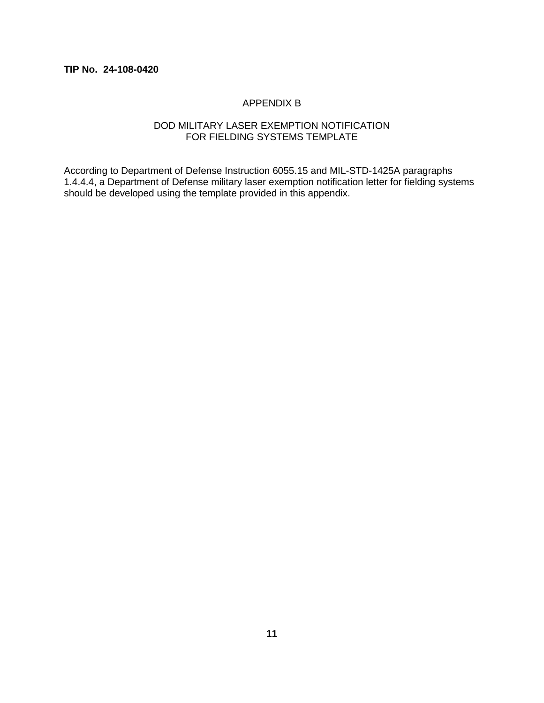## APPENDIX B

## DOD MILITARY LASER EXEMPTION NOTIFICATION FOR FIELDING SYSTEMS TEMPLATE

According to Department of Defense Instruction 6055.15 and MIL-STD-1425A paragraphs 1.4.4.4, a Department of Defense military laser exemption notification letter for fielding systems should be developed using the template provided in this appendix.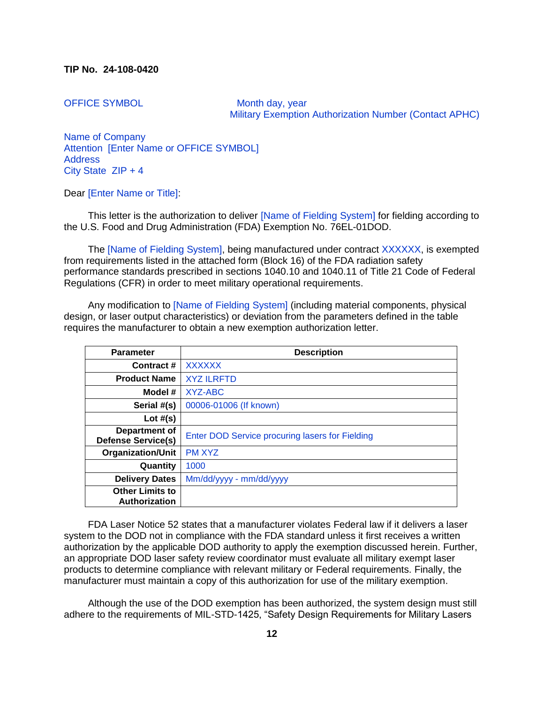OFFICE SYMBOL Month day, year Military Exemption Authorization Number (Contact APHC)

Name of Company Attention [Enter Name or OFFICE SYMBOL] Address City State ZIP + 4

Dear [Enter Name or Title]:

This letter is the authorization to deliver [Name of Fielding System] for fielding according to the U.S. Food and Drug Administration (FDA) Exemption No. 76EL-01DOD.

The [Name of Fielding System], being manufactured under contract XXXXXX, is exempted from requirements listed in the attached form (Block 16) of the FDA radiation safety performance standards prescribed in sections 1040.10 and 1040.11 of Title 21 Code of Federal Regulations (CFR) in order to meet military operational requirements.

Any modification to [Name of Fielding System] (including material components, physical design, or laser output characteristics) or deviation from the parameters defined in the table requires the manufacturer to obtain a new exemption authorization letter.

| <b>Parameter</b>                           | <b>Description</b>                              |
|--------------------------------------------|-------------------------------------------------|
| Contract #                                 | XXXXXX                                          |
| <b>Product Name</b>                        | <b>XYZ ILRFTD</b>                               |
| Model #                                    | XYZ-ABC                                         |
| Serial #(s)                                | 00006-01006 (If known)                          |
| Lot $#(s)$                                 |                                                 |
| Department of<br><b>Defense Service(s)</b> | Enter DOD Service procuring lasers for Fielding |
| <b>Organization/Unit</b>                   | <b>PM XYZ</b>                                   |
| Quantity                                   | 1000                                            |
| <b>Delivery Dates</b>                      | Mm/dd/yyyy - mm/dd/yyyy                         |
| <b>Other Limits to</b><br>Authorization    |                                                 |

FDA Laser Notice 52 states that a manufacturer violates Federal law if it delivers a laser system to the DOD not in compliance with the FDA standard unless it first receives a written authorization by the applicable DOD authority to apply the exemption discussed herein. Further, an appropriate DOD laser safety review coordinator must evaluate all military exempt laser products to determine compliance with relevant military or Federal requirements. Finally, the manufacturer must maintain a copy of this authorization for use of the military exemption.

Although the use of the DOD exemption has been authorized, the system design must still adhere to the requirements of MIL-STD-1425, "Safety Design Requirements for Military Lasers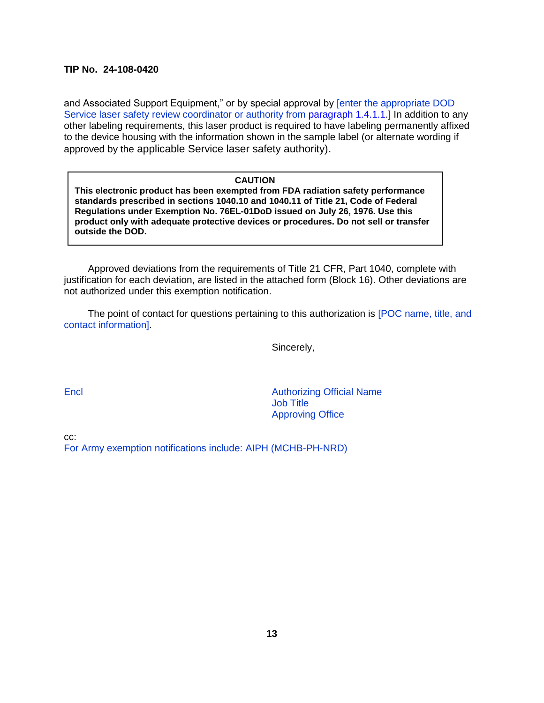and Associated Support Equipment," or by special approval by [enter the appropriate DOD Service laser safety review coordinator or authority from paragraph 1.4.1.1.] In addition to any other labeling requirements, this laser product is required to have labeling permanently affixed to the device housing with the information shown in the sample label (or alternate wording if approved by the applicable Service laser safety authority).

#### **CAUTION**

**This electronic product has been exempted from FDA radiation safety performance standards prescribed in sections 1040.10 and 1040.11 of Title 21, Code of Federal Regulations under Exemption No. 76EL-01DoD issued on July 26, 1976. Use this product only with adequate protective devices or procedures. Do not sell or transfer outside the DOD.** 

Approved deviations from the requirements of Title 21 CFR, Part 1040, complete with justification for each deviation, are listed in the attached form (Block 16). Other deviations are not authorized under this exemption notification.

The point of contact for questions pertaining to this authorization is [POC name, title, and contact information].

Sincerely,

Encl **Encl Authorizing Official Name** Job Title Approving Office

cc:

For Army exemption notifications include: AIPH (MCHB-PH-NRD)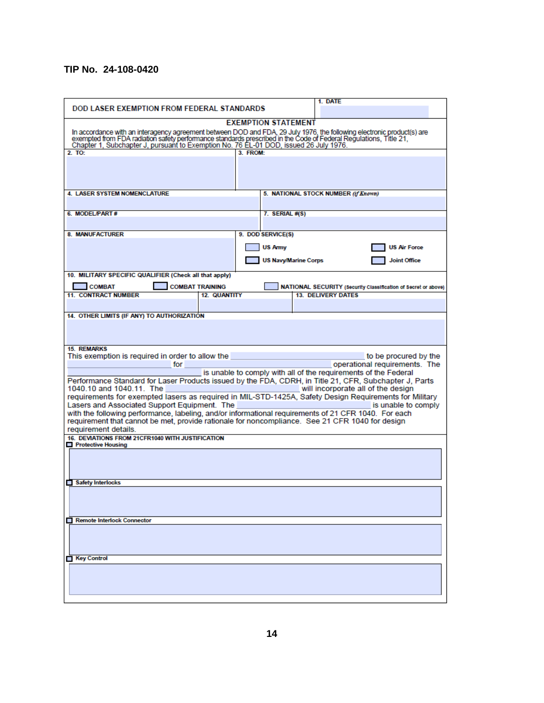| <b>DOD LASER EXEMPTION FROM FEDERAL STANDARDS</b>                                                                                                                                                                                                                                                                          | 1. DATE                                                                                                |  |  |
|----------------------------------------------------------------------------------------------------------------------------------------------------------------------------------------------------------------------------------------------------------------------------------------------------------------------------|--------------------------------------------------------------------------------------------------------|--|--|
|                                                                                                                                                                                                                                                                                                                            | <b>EXEMPTION STATEMENT</b>                                                                             |  |  |
| In accordance with an interagency agreement between DOD and FDA, 29 July 1976, the following electronic product(s) are<br>exempted from FDA radiation safety performance standards prescribed in the Code of Federal Regulations,<br>Chapter 1, Subchapter J, pursuant to Exemption No. 76 EL-01 DOD, issued 26 July 1976. |                                                                                                        |  |  |
| 2. TQ:                                                                                                                                                                                                                                                                                                                     | 3 FROM                                                                                                 |  |  |
|                                                                                                                                                                                                                                                                                                                            |                                                                                                        |  |  |
| <b>4. LASER SYSTEM NOMENCLATURE</b>                                                                                                                                                                                                                                                                                        | 5. NATIONAL STOCK NUMBER (if Known)                                                                    |  |  |
| 6. MODEL/PART#                                                                                                                                                                                                                                                                                                             | 7. SERIAL #(S)                                                                                         |  |  |
|                                                                                                                                                                                                                                                                                                                            |                                                                                                        |  |  |
| 8. MANUFACTURER                                                                                                                                                                                                                                                                                                            | 9. DOD SERVICE(S)                                                                                      |  |  |
|                                                                                                                                                                                                                                                                                                                            | <b>US Army</b><br><b>US Air Force</b>                                                                  |  |  |
|                                                                                                                                                                                                                                                                                                                            | <b>US Navy/Marine Corps</b><br><b>Joint Office</b>                                                     |  |  |
| 10. MILITARY SPECIFIC QUALIFIER (Check all that apply)                                                                                                                                                                                                                                                                     |                                                                                                        |  |  |
| <b>COMBAT</b><br><b>COMBAT TRAINING</b>                                                                                                                                                                                                                                                                                    | NATIONAL SECURITY (Security Classification of Secret or above)                                         |  |  |
| <b>11. CONTRACT NUMBER</b><br><b>12. QUANTITY</b>                                                                                                                                                                                                                                                                          | <b>13. DELIVERY DATES</b>                                                                              |  |  |
|                                                                                                                                                                                                                                                                                                                            |                                                                                                        |  |  |
| 14. OTHER LIMITS (IF ANY) TO AUTHORIZATION                                                                                                                                                                                                                                                                                 |                                                                                                        |  |  |
|                                                                                                                                                                                                                                                                                                                            |                                                                                                        |  |  |
| <b>15. REMARKS</b>                                                                                                                                                                                                                                                                                                         |                                                                                                        |  |  |
| This exemption is required in order to allow the                                                                                                                                                                                                                                                                           | to be procured by the                                                                                  |  |  |
| for                                                                                                                                                                                                                                                                                                                        | operational requirements. The                                                                          |  |  |
| is unable to comply with all of the requirements of the Federal                                                                                                                                                                                                                                                            |                                                                                                        |  |  |
| Performance Standard for Laser Products issued by the FDA, CDRH, in Title 21, CFR, Subchapter J, Parts<br>1040.10 and 1040.11. The<br>will incorporate all of the design                                                                                                                                                   |                                                                                                        |  |  |
|                                                                                                                                                                                                                                                                                                                            | requirements for exempted lasers as required in MIL-STD-1425A, Safety Design Requirements for Military |  |  |
| Lasers and Associated Support Equipment. The                                                                                                                                                                                                                                                                               | is unable to comply                                                                                    |  |  |
| with the following performance, labeling, and/or informational requirements of 21 CFR 1040. For each<br>requirement that cannot be met, provide rationale for noncompliance. See 21 CFR 1040 for design<br>requirement details.                                                                                            |                                                                                                        |  |  |
| 16. DEVIATIONS FROM 21CFR1040 WITH JUSTIFICATION                                                                                                                                                                                                                                                                           |                                                                                                        |  |  |
| <b>Protective Housing</b>                                                                                                                                                                                                                                                                                                  |                                                                                                        |  |  |
|                                                                                                                                                                                                                                                                                                                            |                                                                                                        |  |  |
|                                                                                                                                                                                                                                                                                                                            |                                                                                                        |  |  |
| Safety Interlocks                                                                                                                                                                                                                                                                                                          |                                                                                                        |  |  |
|                                                                                                                                                                                                                                                                                                                            |                                                                                                        |  |  |
|                                                                                                                                                                                                                                                                                                                            |                                                                                                        |  |  |
| <b>Remote Interlock Connector</b>                                                                                                                                                                                                                                                                                          |                                                                                                        |  |  |
|                                                                                                                                                                                                                                                                                                                            |                                                                                                        |  |  |
| <b>■ Key Control</b>                                                                                                                                                                                                                                                                                                       |                                                                                                        |  |  |
|                                                                                                                                                                                                                                                                                                                            |                                                                                                        |  |  |
|                                                                                                                                                                                                                                                                                                                            |                                                                                                        |  |  |